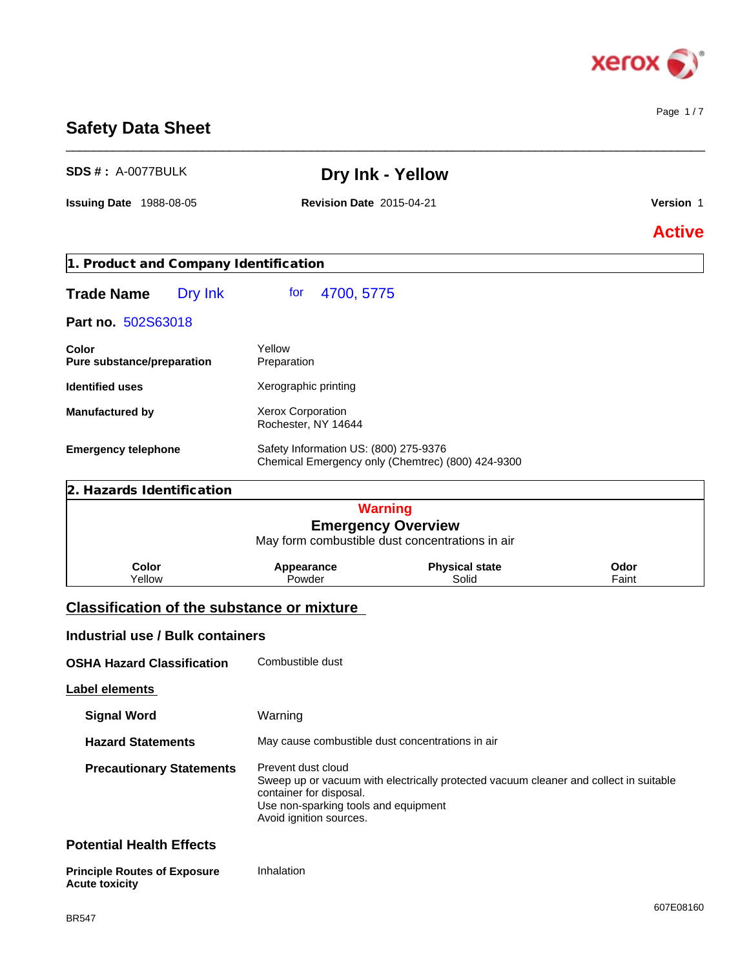

Page 1 / 7

### **Safety Data Sheet**

| <b>SDS #: A-0077BULK</b>                                     |                                                                                                                  | Dry Ink - Yellow                                                                      |               |
|--------------------------------------------------------------|------------------------------------------------------------------------------------------------------------------|---------------------------------------------------------------------------------------|---------------|
| <b>Issuing Date 1988-08-05</b>                               | <b>Revision Date 2015-04-21</b>                                                                                  |                                                                                       | Version 1     |
|                                                              |                                                                                                                  |                                                                                       | <b>Active</b> |
| 1. Product and Company Identification                        |                                                                                                                  |                                                                                       |               |
| Dry Ink<br><b>Trade Name</b>                                 | for<br>4700, 5775                                                                                                |                                                                                       |               |
| Part no. 502S63018                                           |                                                                                                                  |                                                                                       |               |
| Color<br>Pure substance/preparation                          | Yellow<br>Preparation                                                                                            |                                                                                       |               |
| <b>Identified uses</b>                                       | Xerographic printing                                                                                             |                                                                                       |               |
| <b>Manufactured by</b>                                       | Xerox Corporation<br>Rochester, NY 14644                                                                         |                                                                                       |               |
| <b>Emergency telephone</b>                                   | Safety Information US: (800) 275-9376                                                                            | Chemical Emergency only (Chemtrec) (800) 424-9300                                     |               |
| 2. Hazards Identification                                    |                                                                                                                  |                                                                                       |               |
|                                                              |                                                                                                                  | <b>Warning</b>                                                                        |               |
|                                                              |                                                                                                                  | <b>Emergency Overview</b><br>May form combustible dust concentrations in air          |               |
| Color<br>Yellow                                              | Appearance<br>Powder                                                                                             | <b>Physical state</b><br>Solid                                                        | Odor<br>Faint |
| <b>Classification of the substance or mixture</b>            |                                                                                                                  |                                                                                       |               |
| <b>Industrial use / Bulk containers</b>                      |                                                                                                                  |                                                                                       |               |
| <b>OSHA Hazard Classification</b>                            | Combustible dust                                                                                                 |                                                                                       |               |
| <b>Label elements</b>                                        |                                                                                                                  |                                                                                       |               |
| <b>Signal Word</b>                                           | Warning                                                                                                          |                                                                                       |               |
| <b>Hazard Statements</b>                                     | May cause combustible dust concentrations in air                                                                 |                                                                                       |               |
| <b>Precautionary Statements</b>                              | Prevent dust cloud<br>container for disposal.<br>Use non-sparking tools and equipment<br>Avoid ignition sources. | Sweep up or vacuum with electrically protected vacuum cleaner and collect in suitable |               |
| <b>Potential Health Effects</b>                              |                                                                                                                  |                                                                                       |               |
| <b>Principle Routes of Exposure</b><br><b>Acute toxicity</b> | Inhalation                                                                                                       |                                                                                       |               |

\_\_\_\_\_\_\_\_\_\_\_\_\_\_\_\_\_\_\_\_\_\_\_\_\_\_\_\_\_\_\_\_\_\_\_\_\_\_\_\_\_\_\_\_\_\_\_\_\_\_\_\_\_\_\_\_\_\_\_\_\_\_\_\_\_\_\_\_\_\_\_\_\_\_\_\_\_\_\_\_\_\_\_\_\_\_\_\_\_\_\_\_\_\_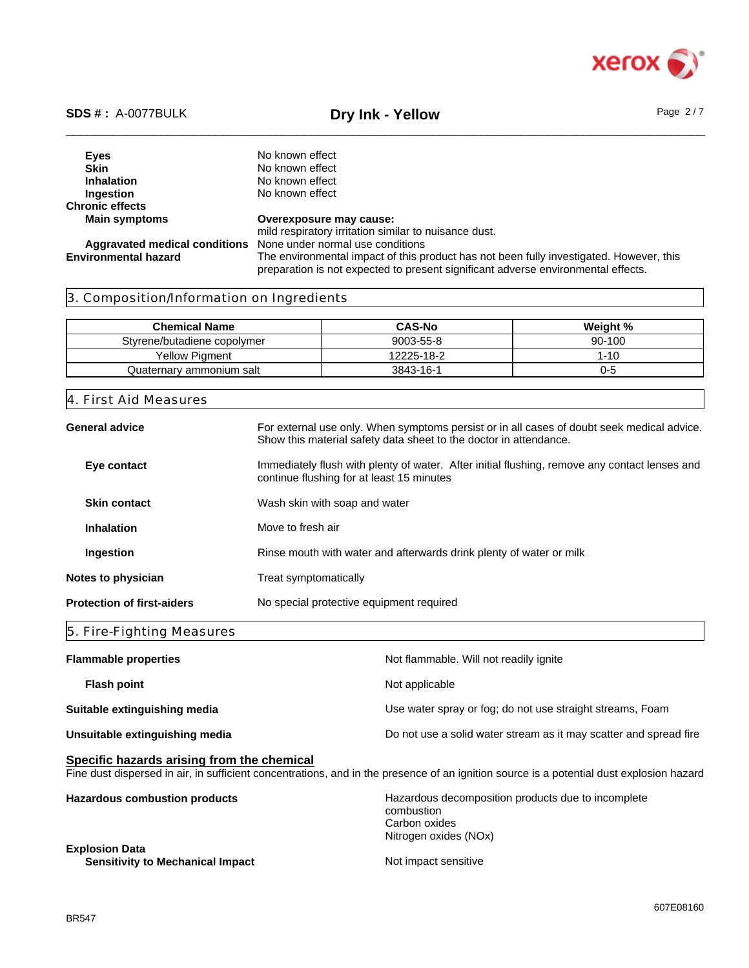

\_\_\_\_\_\_\_\_\_\_\_\_\_\_\_\_\_\_\_\_\_\_\_\_\_\_\_\_\_\_\_\_\_\_\_\_\_\_\_\_\_\_\_\_\_\_\_\_\_\_\_\_\_\_\_\_\_\_\_\_\_\_\_\_\_\_\_\_\_\_\_\_\_\_\_\_\_\_\_\_\_\_\_\_\_\_\_\_\_\_\_\_\_\_ **SDS # :** A-0077BULK **Dry Ink - Yellow** Page 2 / 7

**Eyes** No known effect<br> **Skin** No known effect **Skin**<br> **Inhalation**<br>
No known effect<br>
No known effect **Inhalation** No known effect<br> **Ingestion** No known effect **No known effect Chronic effects Main symptoms Overexposure may cause:** mild respiratory irritation similar to nuisance dust. **Aggravated medical conditions** None under normal use conditions The environmental impact of this product has not been fully investigated. However, this preparation is not expected to present significant adverse environmental effects.

### 3. Composition/Information on Ingredients

| <b>Chemical Name</b>        | <b>CAS-No</b> | Weight % |
|-----------------------------|---------------|----------|
| Stvrene/butadiene copolymer | 9003-55-8     | 90-100   |
| <b>Yellow Pigment</b>       | 12225-18-2    | -10      |
| Quaternary ammonium salt    | 3843-16-1     | J-0      |

### 4. First Aid Measures

| General advice                    | For external use only. When symptoms persist or in all cases of doubt seek medical advice.<br>Show this material safety data sheet to the doctor in attendance. |
|-----------------------------------|-----------------------------------------------------------------------------------------------------------------------------------------------------------------|
| Eye contact                       | Immediately flush with plenty of water. After initial flushing, remove any contact lenses and<br>continue flushing for at least 15 minutes                      |
| <b>Skin contact</b>               | Wash skin with soap and water                                                                                                                                   |
| <b>Inhalation</b>                 | Move to fresh air                                                                                                                                               |
| Ingestion                         | Rinse mouth with water and afterwards drink plenty of water or milk                                                                                             |
| Notes to physician                | Treat symptomatically                                                                                                                                           |
| <b>Protection of first-aiders</b> | No special protective equipment required                                                                                                                        |

### 5. Fire-Fighting Measures

| <b>Flammable properties</b>    | Not flammable. Will not readily ignite                            |
|--------------------------------|-------------------------------------------------------------------|
| <b>Flash point</b>             | Not applicable                                                    |
| Suitable extinguishing media   | Use water spray or fog; do not use straight streams, Foam         |
| Unsuitable extinguishing media | Do not use a solid water stream as it may scatter and spread fire |

### **Specific hazards arising from the chemical**

Fine dust dispersed in air, in sufficient concentrations, and in the presence of an ignition source is a potential dust explosion hazard

| <b>Hazardous combustion products</b>    | Hazardous decomposition products due to incomplete<br>combustion<br>Carbon oxides |
|-----------------------------------------|-----------------------------------------------------------------------------------|
| <b>Explosion Data</b>                   | Nitrogen oxides (NOx)                                                             |
| <b>Sensitivity to Mechanical Impact</b> | Not impact sensitive                                                              |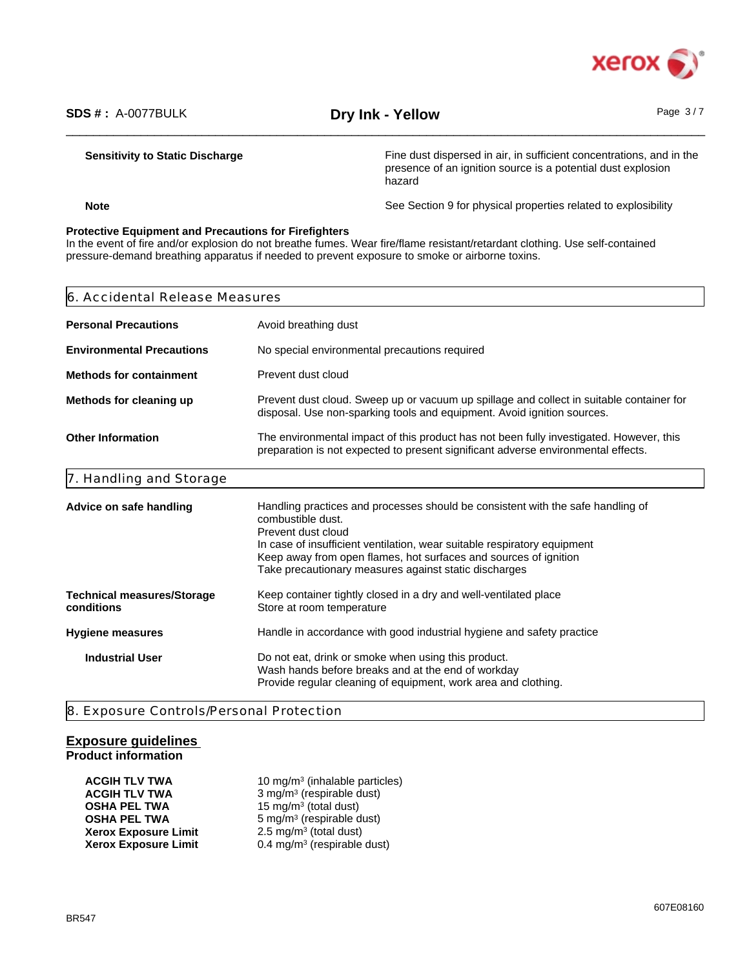

hazard

### **Sensitivity to Static Discharge** Fine dust dispersed in air, in sufficient concentrations, and in the

**Note** See Section 9 for physical properties related to explosibility

presence of an ignition source is a potential dust explosion

### **Protective Equipment and Precautions for Firefighters**

In the event of fire and/or explosion do not breathe fumes. Wear fire/flame resistant/retardant clothing. Use self-contained pressure-demand breathing apparatus if needed to prevent exposure to smoke or airborne toxins.

| 6. Accidental Release Measures                  |                                                                                                                                                                                                                                                                                                                                     |
|-------------------------------------------------|-------------------------------------------------------------------------------------------------------------------------------------------------------------------------------------------------------------------------------------------------------------------------------------------------------------------------------------|
| <b>Personal Precautions</b>                     | Avoid breathing dust                                                                                                                                                                                                                                                                                                                |
| <b>Environmental Precautions</b>                | No special environmental precautions required                                                                                                                                                                                                                                                                                       |
| <b>Methods for containment</b>                  | Prevent dust cloud                                                                                                                                                                                                                                                                                                                  |
| Methods for cleaning up                         | Prevent dust cloud. Sweep up or vacuum up spillage and collect in suitable container for<br>disposal. Use non-sparking tools and equipment. Avoid ignition sources.                                                                                                                                                                 |
| <b>Other Information</b>                        | The environmental impact of this product has not been fully investigated. However, this<br>preparation is not expected to present significant adverse environmental effects.                                                                                                                                                        |
| 7. Handling and Storage                         |                                                                                                                                                                                                                                                                                                                                     |
| Advice on safe handling                         | Handling practices and processes should be consistent with the safe handling of<br>combustible dust.<br>Prevent dust cloud<br>In case of insufficient ventilation, wear suitable respiratory equipment<br>Keep away from open flames, hot surfaces and sources of ignition<br>Take precautionary measures against static discharges |
| <b>Technical measures/Storage</b><br>conditions | Keep container tightly closed in a dry and well-ventilated place<br>Store at room temperature                                                                                                                                                                                                                                       |
| <b>Hygiene measures</b>                         | Handle in accordance with good industrial hygiene and safety practice                                                                                                                                                                                                                                                               |
| <b>Industrial User</b>                          | Do not eat, drink or smoke when using this product.<br>Wash hands before breaks and at the end of workday<br>Provide regular cleaning of equipment, work area and clothing.                                                                                                                                                         |
|                                                 |                                                                                                                                                                                                                                                                                                                                     |

8. Exposure Controls/Personal Protection

### **Exposure guidelines**

### **Product information**

**ACGIH TLV TWA** 10 mg/m<sup>3</sup> (inhalable particles) **ACGIH TLV TWA** 3 mg/m<sup>3</sup> (respirable dust) **OSHA PEL TWA** 15 mg/m<sup>3</sup> (total dust) **OSHA PEL TWA** 5 mg/m<sup>3</sup> (respirable dust) **Xerox Exposure Limit** 2.5 mg/m<sup>3</sup> (total dust) **Xerox Exposure Limit** 0.4 mg/m<sup>3</sup> (respirable dust)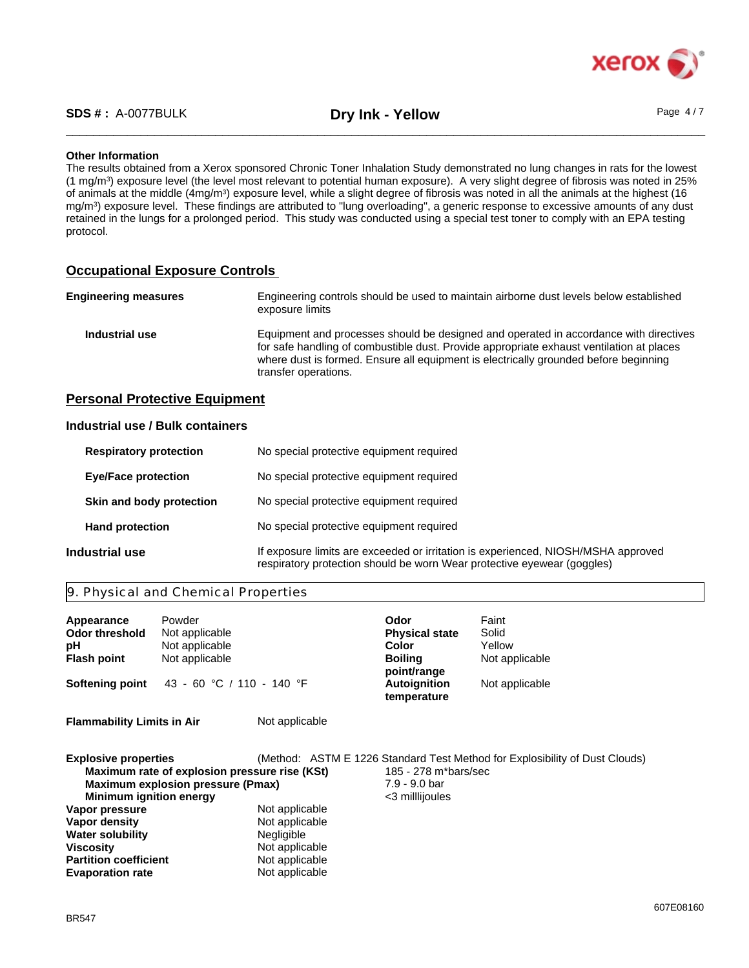

### **Other Information**

The results obtained from a Xerox sponsored Chronic Toner Inhalation Study demonstrated no lung changes in rats for the lowest (1 mg/m<sup>3</sup> ) exposure level (the level most relevant to potential human exposure). A very slight degree of fibrosis was noted in 25% of animals at the middle (4mg/m<sup>3</sup>) exposure level, while a slight degree of fibrosis was noted in all the animals at the highest (16 mg/m<sup>3</sup> ) exposure level. These findings are attributed to "lung overloading", a generic response to excessive amounts of any dust retained in the lungs for a prolonged period. This study was conducted using a special test toner to comply with an EPA testing protocol.

### **Occupational Exposure Controls**

| <b>Engineering measures</b> | Engineering controls should be used to maintain airborne dust levels below established<br>exposure limits                                                                                                                                                                                         |
|-----------------------------|---------------------------------------------------------------------------------------------------------------------------------------------------------------------------------------------------------------------------------------------------------------------------------------------------|
| Industrial use              | Equipment and processes should be designed and operated in accordance with directives<br>for safe handling of combustible dust. Provide appropriate exhaust ventilation at places<br>where dust is formed. Ensure all equipment is electrically grounded before beginning<br>transfer operations. |

### **Personal Protective Equipment**

### **Industrial use / Bulk containers**

| <b>Respiratory protection</b> | No special protective equipment required                                                                                                                     |
|-------------------------------|--------------------------------------------------------------------------------------------------------------------------------------------------------------|
| <b>Eye/Face protection</b>    | No special protective equipment required                                                                                                                     |
| Skin and body protection      | No special protective equipment required                                                                                                                     |
| <b>Hand protection</b>        | No special protective equipment required                                                                                                                     |
| Industrial use                | If exposure limits are exceeded or irritation is experienced, NIOSH/MSHA approved<br>respiratory protection should be worn Wear protective eyewear (goggles) |

### 9. Physical and Chemical Properties

**Viscosity** Not applicable<br> **Partition coefficient** Not applicable **Partition coefficient** Not applicable<br> **Evaporation rate** Not applicable

| Appearance<br><b>Odor threshold</b><br>рH<br><b>Flash point</b><br>Softening point | Powder<br>Not applicable<br>Not applicable<br>Not applicable<br>43 - 60 °C / 110 - 140 °F |                                                       | Odor<br><b>Physical state</b><br>Color<br><b>Boiling</b><br>point/range<br><b>Autoignition</b><br>temperature | Faint<br>Solid<br>Yellow<br>Not applicable<br>Not applicable                |  |
|------------------------------------------------------------------------------------|-------------------------------------------------------------------------------------------|-------------------------------------------------------|---------------------------------------------------------------------------------------------------------------|-----------------------------------------------------------------------------|--|
| <b>Flammability Limits in Air</b>                                                  |                                                                                           | Not applicable                                        |                                                                                                               |                                                                             |  |
| <b>Explosive properties</b><br><b>Minimum ignition energy</b>                      | Maximum rate of explosion pressure rise (KSt)<br><b>Maximum explosion pressure (Pmax)</b> |                                                       | 185 - 278 m*bars/sec<br>7.9 - 9.0 bar<br><3 millijoules                                                       | (Method: ASTM E 1226 Standard Test Method for Explosibility of Dust Clouds) |  |
| Vapor pressure<br>Vapor density<br><b>Water solubility</b>                         |                                                                                           | Not applicable<br>Not applicable<br><b>Negligible</b> |                                                                                                               |                                                                             |  |

**Evaporation rate**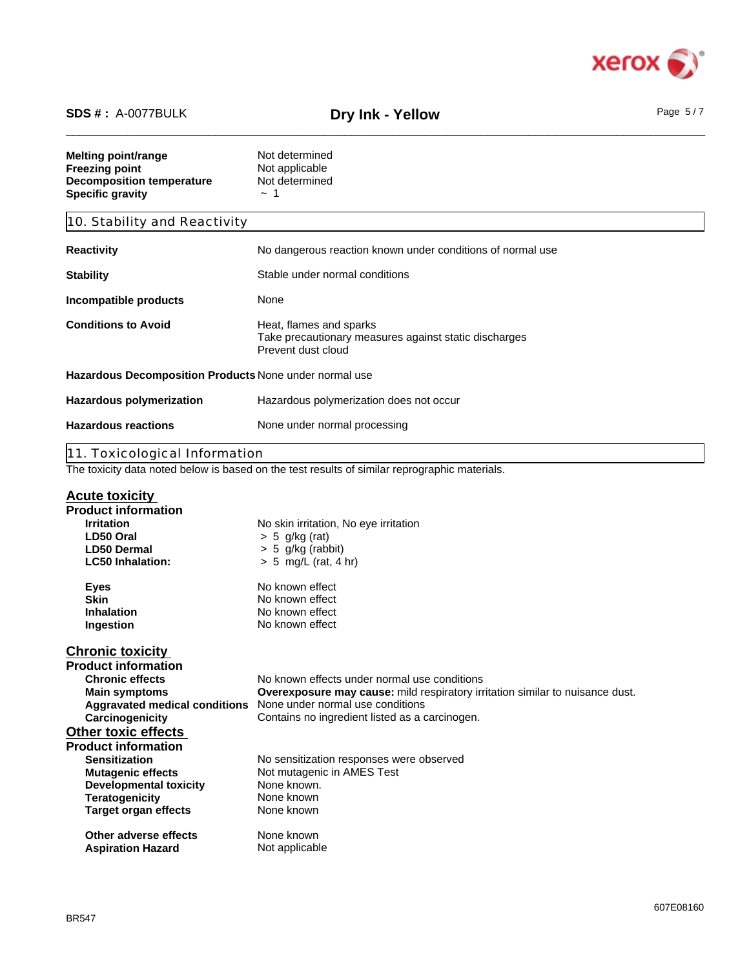

# \_\_\_\_\_\_\_\_\_\_\_\_\_\_\_\_\_\_\_\_\_\_\_\_\_\_\_\_\_\_\_\_\_\_\_\_\_\_\_\_\_\_\_\_\_\_\_\_\_\_\_\_\_\_\_\_\_\_\_\_\_\_\_\_\_\_\_\_\_\_\_\_\_\_\_\_\_\_\_\_\_\_\_\_\_\_\_\_\_\_\_\_\_\_ **SDS # :** A-0077BULK **Dry Ink - Yellow** Page 5 / 7

| <b>Melting point/range</b><br><b>Freezing point</b><br><b>Decomposition temperature</b><br><b>Specific gravity</b> | Not determined<br>Not applicable<br>Not determined<br>$\sim$ 1                                         |
|--------------------------------------------------------------------------------------------------------------------|--------------------------------------------------------------------------------------------------------|
| 10. Stability and Reactivity                                                                                       |                                                                                                        |
| <b>Reactivity</b>                                                                                                  | No dangerous reaction known under conditions of normal use                                             |
| <b>Stability</b>                                                                                                   | Stable under normal conditions                                                                         |
| Incompatible products                                                                                              | None                                                                                                   |
| <b>Conditions to Avoid</b>                                                                                         | Heat, flames and sparks<br>Take precautionary measures against static discharges<br>Prevent dust cloud |
| Hazardous Decomposition Products None under normal use                                                             |                                                                                                        |
| <b>Hazardous polymerization</b>                                                                                    | Hazardous polymerization does not occur                                                                |
| <b>Hazardous reactions</b>                                                                                         | None under normal processing                                                                           |
| 11. Toxicological Information                                                                                      |                                                                                                        |
|                                                                                                                    | The toxicity data noted below is based on the test results of similar reprographic materials.          |
| <b>Acute toxicity</b>                                                                                              |                                                                                                        |
| <b>Product information</b>                                                                                         |                                                                                                        |
| <b>Irritation</b>                                                                                                  | No skin irritation, No eye irritation                                                                  |
| LD50 Oral                                                                                                          | $> 5$ g/kg (rat)                                                                                       |
| <b>LD50 Dermal</b>                                                                                                 | > 5 g/kg (rabbit)                                                                                      |
|                                                                                                                    |                                                                                                        |
| <b>LC50 Inhalation:</b>                                                                                            | $> 5$ mg/L (rat, 4 hr)                                                                                 |
| <b>Eyes</b>                                                                                                        | No known effect                                                                                        |
| <b>Skin</b>                                                                                                        | No known effect                                                                                        |
| Inhalation                                                                                                         | No known effect                                                                                        |
| Ingestion                                                                                                          | No known effect                                                                                        |
| <b>Chronic toxicity</b>                                                                                            |                                                                                                        |
| <b>Product information</b>                                                                                         |                                                                                                        |
| <b>Chronic effects</b>                                                                                             | No known effects under normal use conditions                                                           |
| <b>Main symptoms</b>                                                                                               | Overexposure may cause: mild respiratory irritation similar to nuisance dust.                          |
| <b>Aggravated medical conditions</b>                                                                               | None under normal use conditions                                                                       |
| Carcinogenicity                                                                                                    | Contains no ingredient listed as a carcinogen.                                                         |
| <b>Other toxic effects</b>                                                                                         |                                                                                                        |
| <b>Product information</b>                                                                                         |                                                                                                        |
| <b>Sensitization</b>                                                                                               | No sensitization responses were observed                                                               |
| <b>Mutagenic effects</b>                                                                                           | Not mutagenic in AMES Test                                                                             |
|                                                                                                                    |                                                                                                        |

**Developmental toxicity** None known.

**Aspiration Hazard**

**Teratogenicity None known Target organ effects None known** 

**Other adverse effects** None known

Not applicable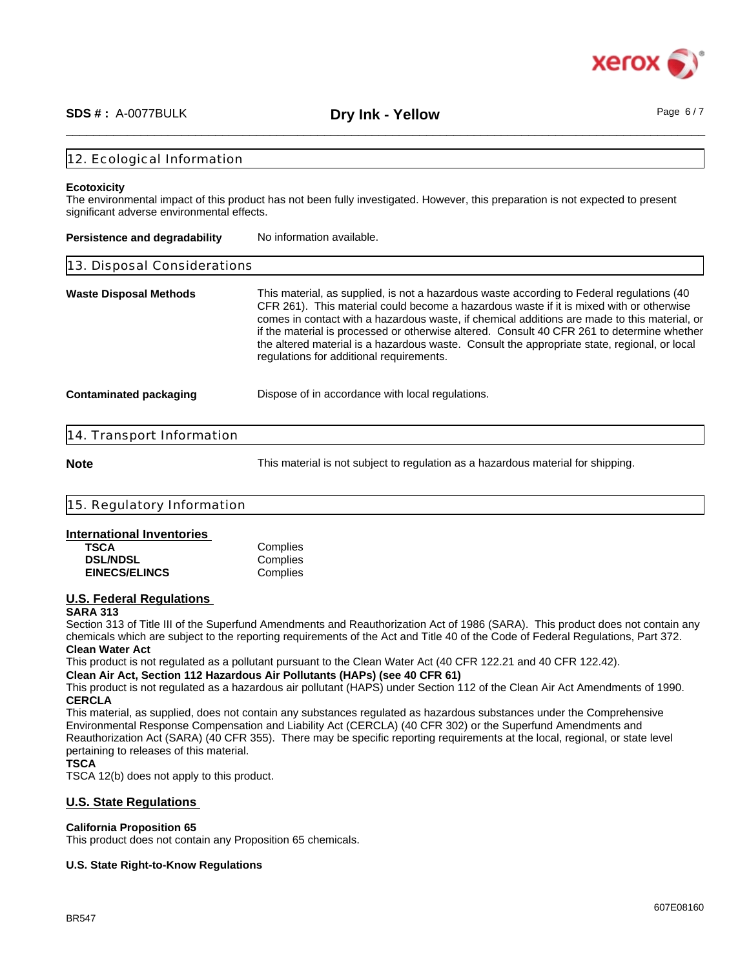

# \_\_\_\_\_\_\_\_\_\_\_\_\_\_\_\_\_\_\_\_\_\_\_\_\_\_\_\_\_\_\_\_\_\_\_\_\_\_\_\_\_\_\_\_\_\_\_\_\_\_\_\_\_\_\_\_\_\_\_\_\_\_\_\_\_\_\_\_\_\_\_\_\_\_\_\_\_\_\_\_\_\_\_\_\_\_\_\_\_\_\_\_\_\_ **SDS # :** A-0077BULK **Dry Ink - Yellow** Page 6 / 7

### 12. Ecological Information

### **Ecotoxicity**

The environmental impact of this product has not been fully investigated. However, this preparation is not expected to present significant adverse environmental effects.

| <b>Persistence and degradability</b> | No information available.                                                                                                                                                                                                                                                                                                                                                                                                                                                                                                      |
|--------------------------------------|--------------------------------------------------------------------------------------------------------------------------------------------------------------------------------------------------------------------------------------------------------------------------------------------------------------------------------------------------------------------------------------------------------------------------------------------------------------------------------------------------------------------------------|
| 13. Disposal Considerations          |                                                                                                                                                                                                                                                                                                                                                                                                                                                                                                                                |
| <b>Waste Disposal Methods</b>        | This material, as supplied, is not a hazardous waste according to Federal regulations (40<br>CFR 261). This material could become a hazardous waste if it is mixed with or otherwise<br>comes in contact with a hazardous waste, if chemical additions are made to this material, or<br>if the material is processed or otherwise altered. Consult 40 CFR 261 to determine whether<br>the altered material is a hazardous waste. Consult the appropriate state, regional, or local<br>regulations for additional requirements. |
| Contaminated packaging               | Dispose of in accordance with local regulations.                                                                                                                                                                                                                                                                                                                                                                                                                                                                               |

### 14. Transport Information

**Note** This material is not subject to regulation as a hazardous material for shipping.

| 11 5<br>ion<br>$-$ formo<br>⊔ົດຕ                                |  |
|-----------------------------------------------------------------|--|
| the contract of the contract of the con-<br>the property of the |  |

### **International Inventories**

| TSCA                 | Complies |
|----------------------|----------|
| <b>DSL/NDSL</b>      | Complies |
| <b>EINECS/ELINCS</b> | Complies |

### **U.S. Federal Regulations**

### **SARA 313**

Section 313 of Title III of the Superfund Amendments and Reauthorization Act of 1986 (SARA). This product does not contain any chemicals which are subject to the reporting requirements of the Act and Title 40 of the Code of Federal Regulations, Part 372. **Clean Water Act**

This product is not regulated as a pollutant pursuant to the Clean Water Act (40 CFR 122.21 and 40 CFR 122.42).

**Clean Air Act, Section 112 Hazardous Air Pollutants (HAPs) (see 40 CFR 61)**

This product is not regulated as a hazardous air pollutant (HAPS) under Section 112 of the Clean Air Act Amendments of 1990. **CERCLA**

This material, as supplied, does not contain any substances regulated as hazardous substances under the Comprehensive Environmental Response Compensation and Liability Act (CERCLA) (40 CFR 302) or the Superfund Amendments and Reauthorization Act (SARA) (40 CFR 355). There may be specific reporting requirements at the local, regional, or state level pertaining to releases of this material.

### **TSCA**

TSCA 12(b) does not apply to this product.

### **U.S. State Regulations**

### **California Proposition 65**

This product does not contain any Proposition 65 chemicals.

### **U.S. State Right-to-Know Regulations**